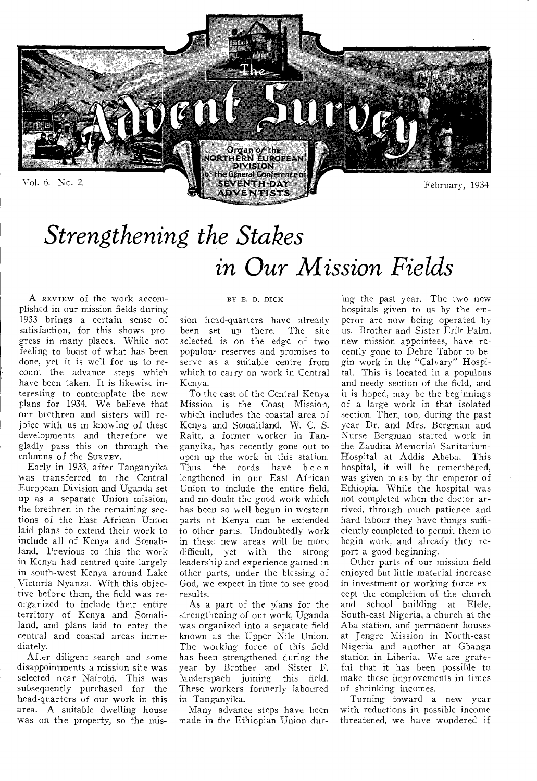

# *Strengthening the Stakes in Our Mission Fields*

A REVIEW of the work accomplished in our mission fields during 1933 brings a certain sense of satisfaction, for this shows progress in many places. While not feeling to boast of what has been done, yet it is well for us to recount the advance steps which have been taken. It is likewise interesting to contemplate the new plans for 1934. We believe that our brethren and sisters will rejoice with us in knowing of these developments and therefore we gladly pass this on through the columns of the SURVEY.

Early in 1933, after Tanganyika was transferred to the Central European Division and Uganda set up as a separate Union mission, the brethren in the remaining sections of the East African Union laid plans to extend their work to include all of Kenya and Somaliland. Previous to this the work in Kenya had centred quite largely in south-west Kenya around Lake Victoria Nyanza. With this objective before them, the field was reorganized to include their entire territory of Kenya and Somaliland, and plans laid to enter the central and coastal areas immediately.

After diligent search and some disappointments a mission site was selected near Nairobi. This was subsequently purchased for the head-quarters of our work in this area. A suitable dwelling house was on the property, so the mis-

#### BY E. D. DICK

sion head-quarters have already been set up there. The site selected is on the edge of two populous reserves and promises to serve as a suitable centre from which to carry on work in Central Kenya.

To the east of the Central Kenya Mission is the Coast Mission, which includes the coastal area of Kenya and Somaliland. W. C. S. Raitt, a former worker in Tanganyika, has recently gone out to open up the work in this station. Thus the cords have been lengthened in our East African Union to include the entire field, and no doubt the good work which has been so well begun in western parts of Kenya can be extended to other parts. Undoubtedly work in these new areas will be more difficult, yet with the strong leadership and experience gained in other parts, under the blessing of God, we expect in time to see good results.

As a part of the plans for the strengthening of our work, Uganda was organized into a separate field known as the Upper Nile Union. The working force of this field has been strengthened during the year by Brother and Sister F. Muderspach joining this field. These workers formerly laboured in Tanganyika.

Many advance steps have been made in the Ethiopian Union during the past year. The two new hospitals given to us by the emperor are now being operated by us. Brother and Sister Erik Palm, new mission appointees, have recently gone to Debre Tabor to begin work in the "Calvary" Hospital. This is located in a populous and needy section of the field, and it is hoped, may be the beginnings of a large work in that isolated section. Then, too, during the past year Dr. and Mrs. Bergman and Nurse Bergman started work in the Zaudita Memorial Sanitarium-Hospital at Addis Abeba. This hospital, it will be remembered, was given to us by the emperor of Ethiopia. While the hospital was not completed when the doctor arrived, through much patience and hard labour they have things sufficiently completed to permit them to begin work, and already they report a good beginning.

Other parts of our mission field enjoyed but little material increase in investment or working force except the completion of the church and school building at Elele, South-east Nigeria, a church at the Aba station, and permanent houses at Jengre Mission in North-east Nigeria and another at Gbanga station in Liberia. We are grateful that it has been possible to make these improvements in times of shrinking incomes.

Turning toward a new year with reductions in possible income threatened, we have wondered if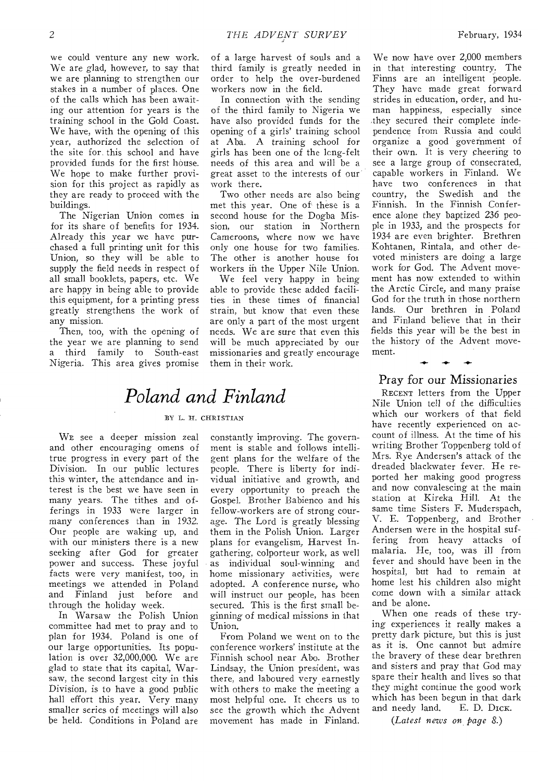we could venture any new work. We are glad, however, to say that we are planning to strengthen our stakes in a number of places. One of the calls which has been awaiting our attention for years is the training school in the Gold Coast. We have, with the opening of this year, authorized the selection of the site for this school and have provided funds for the first house. We hope to make further provision for this project as rapidly as they are ready to proceed with the buildings.

The Nigerian Union comes in for its share of benefits for 1934. Already this year we have purchased a full printing unit for this Union, so they will be able to supply the field needs in respect of all small booklets, papers, etc. We are happy in being able to provide this equipment, for a printing press greatly strengthens the work of any mission.

Then, too, with the opening of the year we are planning to send a third family to South-east Nigeria. This area gives promise

of a large harvest of souls and a third family is greatly needed in order to help the over-burdened workers now in the field.

In connection with the sending of the third family to Nigeria we have also provided funds for the opening of a girls' training school at Aba. A training school for girls has been one of the lcng-felt needs of this area and will be a great asset to the interests of our work there.

Two other needs are also being met this year. One of these is a second house for the Dogba Mission, our station in Northern Cameroons, where now we have only one house for two families. The other is another house foi workers in the Upper Nile Union.

We feel very happy in being able to provide these added facilities in these times of financial strain, but know that even these are only a part of the most urgent needs. We are sure that even this will be much appreciated by our missionaries and greatly encourage them in their work.

### *Poland and Finland*

#### BY L. H. CHRISTIAN

WE see a deeper mission zeal and other encouraging omens of true progress in every part of the Division. In our public lectures this winter, the attendance and interest is the best we have seen in many years. The tithes and offerings in 1933 were larger in many conferences than in 1932. Our people are waking up, and with our ministers there is a new seeking after God for greater power and success. These joyful facts were very manifest, too, in meetings we attended in Poland and Finland just before and through the holiday week.

In Warsaw the Polish Union committee had met to pray and to plan for 1934. Poland is one of our large opportunities. Its population is over 32,000,000. We are glad to state that its capital, Warsaw, the second largest city in this Division, is to have a good public hall effort this year. Very many smaller series of meetings will also be held. Conditions in Poland are constantly improving. The government is stable and follows intelligent plans for the welfare of the people. There is liberty for individual initiative and growth, and every opportunity to preach the Gospel. Brother Babienco and his fellow-workers are of strong courage. The Lord is greatly blessing them in the Polish Union. Larger plans for evangelism, Harvest Ingathering, colporteur work, as well as individual soul-winning and home missionary activities, were adopted. A conference nurse, who will instruct our people, has been secured. This is the first small beginning of medical missions in that Union.

From Poland we went on to the conference workers' institute at the Finnish school near Abo. Brother Lindsay, the Union president, was there, and laboured very.earnestly with others to make the meeting a most helpful one. It cheers us to see the growth which the Advent movement has made in Finland.

We now have over 2,000 members in that interesting country. The Finns are an intelligent people. They have made great forward strides in education, order, and human happiness, especially since they secured their complete independence from Russia and could organize a good government of their own. It is very cheering to see a large group of consecrated, capable workers in Finland. We have two conferences in that country, the Swedish and the Finnish. In the Finnish Conference alone they baptized 236 people in 1933, and the prospects for 1934 are even brighter. Brethren Kohtanen, Rintala, and other devoted ministers are doing a large work for God. The Advent movement has now extended to within the Arctic Circle, and many praise God for the truth in those northern lands. Our brethren in Poland and Finland believe that in their fields this year will be the best in the history of the Advent movement.

### Pray for our Missionaries

RECENT letters from the Upper Nile Union tell of the difficulties which our workers of that field have recently experienced on account of illness. At the time of his writing Brother Toppenberg told of Mrs. Rye Andersen's attack of the dreaded blackwater fever. He reported her making good progress and now convalescing at the main station at Kireka Hill. At the same time Sisters F. Muderspach, V. E. Toppenberg, and Brother Andersen were in the hospital suffering from heavy attacks of malaria. He, too, was ill from fever and should have been in the hospital, but had to remain at home lest his children also might come down with a similar attack and be alone.

When one reads of these trying experiences it really makes a pretty dark picture, but this is just as it is. One cannot but admire the bravery of these dear brethren and sisters and pray that God may spare their health and lives so that they might continue the good work which has been begun in that dark<br>and needy land. E. D. DICK. and needy land.

*(Latest news on page 8.)*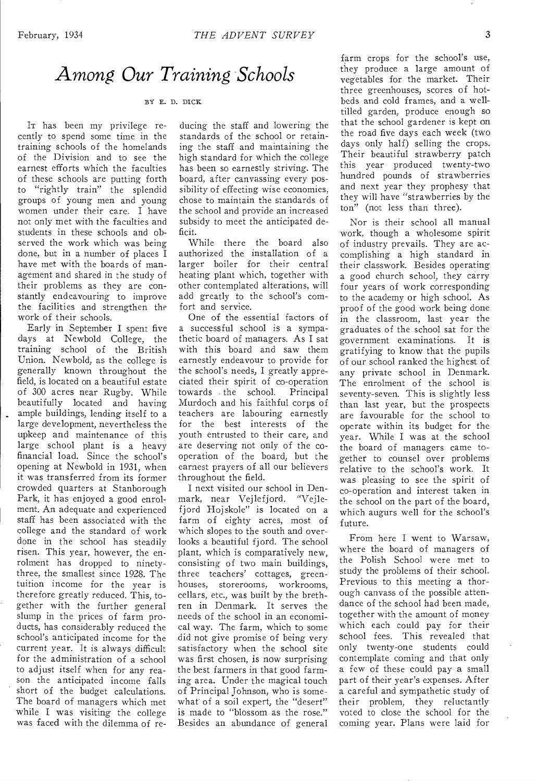### *Among Our Training Schools*

#### BY E. D. DICK

IT has been my privilege recently to spend some time in the training schools of the homelands of the Division and to see the earnest efforts which the faculties of these schools are putting forth to "rightly train" the splendid groups of young men and young women under their care. I have not only met with the faculties and students in these schools and observed the work which was being done, but in a number of places I have met with the boards of management and shared in the study of their problems as they are constantly endeavouring to improve the facilities and strengthen the work of their schools.

Early in September I spent five days at Newbold College, the training school of the British Union. Newbold, as the college is generally known throughout the field, is located on a beautiful estate of 300 acres near Rugby. While beautifully located and having ample buildings, lending itself to a large development, nevertheless the upkeep and maintenance of this large school plant is a heavy financial load. Since the school's opening at Newbold in 1931, when it was transferred from its former crowded quarters at Stanborough Park, it has enjoyed a good enrolment. An adequate and experienced staff has been associated with the college and the standard of work done in the school has steadily risen. This year, however, the enrolment has dropped to ninetythree, the smallest since 1928. The tuition income for the year is therefore greatly reduced. This, together with the further general slump in the prices of farm products, has considerably reduced the school's anticipated income for the current year. It is always difficult for the administration of a school to adjust itself when for any reason the anticipated income falls short of the budget calculations. The board of managers which met while I was visiting the college was faced with the dilemma of reducing the staff and lowering the standards of the school or retaining the staff and maintaining the high standard for which the college has been so earnestly striving. The board, after canvassing every possibility of effecting wise economies, chose to maintain the standards of the school and provide an increased subsidy to meet the anticipated deficit.

While there the board also authorized the installation of a larger boiler for their central heating plant which, together with other contemplated alterations, will add greatly to the school's comfort and service.

One of the essential factors of a successful school is a sympathetic board of managers. As I sat with this board and saw them earnestly endeavour to provide for the school's needs, I greatly appreciated their spirit of co-operation towards the school. Principal Murdoch and his faithful corps of teachers are labouring earnestly for the best interests of the youth entrusted to their care, and are deserving not only of the cooperation of the board, but the earnest prayers of all our believers throughout the field.

I next visited our school in Denmark, near Vejlefjord. "Vejlefjord Hojskole" is located on a farm of eighty acres, most of which slopes to the south and overlooks a beautiful fjord. The school plant, which is comparatively new, consisting of two main buildings, three teachers' cottages, greenhouses, storerooms, workrooms, cellars, etc., was built by the brethren in Denmark. It serves the needs of the school in an economical way. The farm, which to some did not give promise of being very satisfactory when the school site was first chosen, is now surprising the best farmers in that good farming area. Under the magical touch of Principal Johnson, who is somewhat of a soil expert, the "desert" is made to "blossom as the rose." Besides an abundance of general

farm crops for the school's use, they produce a large amount of vegetables for the market. Their three greenhouses, scores of hotbeds and cold frames, and a welltilled garden, produce enough so that the school gardener is kept on the road five days each week (two days only half) selling the crops. Their beautiful strawberry patch this year produced twenty-two hundred pounds of strawberries and next year they prophesy that they will have "strawberries by the ton" (not less than three).

Nor is their school all manual work, though a wholesome spirit of industry prevails. They are accomplishing a high standard in their classwork. Besides operating a good church school, they carry four years of work corresponding to the academy or high school. As proof of the good work being done in the classroom, last year the graduates of the school sat for the government examinations. It is gratifying to know that the pupils of our school ranked the highest of any private school in Denmark. The enrolment of the school is seventy-seven. This is slightly less than last year, but the prospects are favourable for the school to operate within its budget for the year. While I was at the school the board of managers came together to counsel over problems relative to the school's work. It was pleasing to see the spirit of co-operation and interest taken in the school on the part of the board, which augurs well for the school's future.

From here I went to Warsaw, where the board of managers of the Polish School were met to study the problems of their school. Previous to this meeting a thorough canvass of the possible attendance of the school had been made, together with the amount of money which each could pay for their school fees. This revealed that only twenty-one students could contemplate coming and that only a few of these could pay a small part of their year's expenses. After a careful and sympathetic study of their problem, they reluctantly voted to close the school for the coming year. Plans were laid for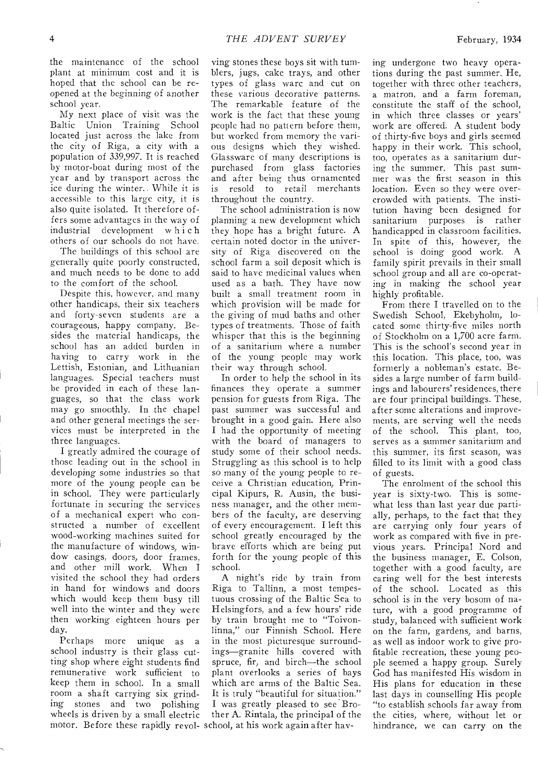the maintenance of the school plant at minimum cost and it is hoped that the school can be reopened at the beginning of another school year.

My next place of visit was the Baltic Union Training School located just across the lake from the city of Riga, a city with a population of 339,997. It is reached by motor-boat during most of the year and by transport across the ice during the winter.. While it is accessible to this large city, it is also quite isolated. It therefore offers some advantages in the way of industrial development which others of our schools do not have.

The buildings of this school are generally quite poorly constructed, and much needs to be done to add to the comfort of the school.

Despite this, however, and many other handicaps, their six teachers and forty-seven students are a courageous, happy company. Besides the material handicaps, the school has an added burden in having to carry work in the Lettish, Estonian, and Lithuanian languages. Special teachers must be provided in each of these languages, so that the class work may go smoothly. In the chapel and other general meetings the services must be interpreted in the three languages.

I greatly admired the courage of those leading out in the school in developing some industries so that more of the young people can be in school. They were particularly fortunate in securing the services of a mechanical expert who constructed a number of excellent wood-working machines suited for the manufacture of windows, window casings, doors, door frames, and other mill work. When I visited the school they had orders in hand for windows and doors which would keep them busy till well into the winter and they were then working eighteen hours per day.

Perhaps more unique as a school industry is their glass cutting shop where eight students find remunerative work sufficient to keep them in school. In a small room a shaft carrying six grinding stones and two polishing wheels is driven by a small electric

ving stones these boys sit with tumblers, jugs, cake trays, and other types of glass ware and cut on these various decorative patterns. The remarkable feature of the work is the fact that these young people had no pattern before them, but worked from memory the various designs which they wished. Glassware of many descriptions is purchased from glass factories and after being thus ornamented is resold to retail merchants throughout the country.

The school administration is now planning a new development which they hope has a bright future. A certain noted doctor in the university of Riga discovered on the school farm a soil deposit which is said to have medicinal values when used as a bath. They have now built a small treatment room in which provision will be made for the giving of mud baths and other types of treatments. Those of faith whisper that this is the beginning of a sanitarium where a number of the young people may work their way through school.

In order to help the school in its finances they operate a summer pension for guests from Riga. The past summer was successful and brought in a good gain. Here also I had the opportunity of meeting with the board of managers to study some of their school needs. Struggling as this school is to help so many of the young people to receive a Christian education, Principal Kipurs, R. Ausin, the business manager, and the other members of the faculty, are deserving of every encouragement. I left this school greatly encouraged by the brave efforts which are being put forth for the young people of this school.

A night's ride by train from Riga to Tallinn, a most tempestuous crossing of the Baltic Sea to Helsingfors, and a few hours' ride by train brought me to "Toivonlinna," our Finnish School. Here in the most picturesque surroundings—granite hills covered with spruce, fir, and birch—the school plant overlooks a series of bays which are arms of the Baltic Sea. It is truly "beautiful for situation." I was greatly pleased to see Brother A. Rintala, the principal of the ing undergone two heavy operations during the past summer. He, together with three other teachers, a matron, and a farm foreman, constitute the staff of the school, in which three classes or years' work are offered. A student body of thirty-five boys and girls seemed happy in their work. This school, too, operates as a sanitarium during the summer. This past summer was the first season in this location. Even so they were overcrowded with patients. The institution having been designed for sanitarium purposes is rather handicapped in classroom facilities. In spite of this, however, the school is doing good work. A family spirit prevails in their small school group and all are co-operating in making the school year highly profitable.

From there I travelled on to the Swedish School, Ekebyholm, located some thirty-five miles north of Stockholm on a 1,700 acre farm. This is the school's second year in this location. This place, too, was formerly a nobleman's estate. Besides a large number of farm buildings and labourers' residences, there are four principal buildings. These, after some alterations and improvements, are serving well the needs of the school. This plant, too, serves as a summer sanitarium and this summer, its first season, was filled to its limit with a good class of guests.

The enrolment of the school this year is sixty-two. This is somewhat less than last year due partially, perhaps, to the fact that they are carrying only four years of work as compared with five in previous years. Principal Nord and the business manager, E. Colson, together with a good faculty, are caring well for the best interests of the school. Located as this school is in the very bosom of nature, with a good programme of study, balanced with sufficient work on the farm, gardens, and barns, as well as indoor work to give profitable recreation, these young people seemed a happy group. Surely God has manifested His wisdom in His plans for education in these last days in counselling His people "to establish schools far away from the cities, where, without let or motor. Before these rapidly revol- school, at his work again after hav- hindrance, we can carry on the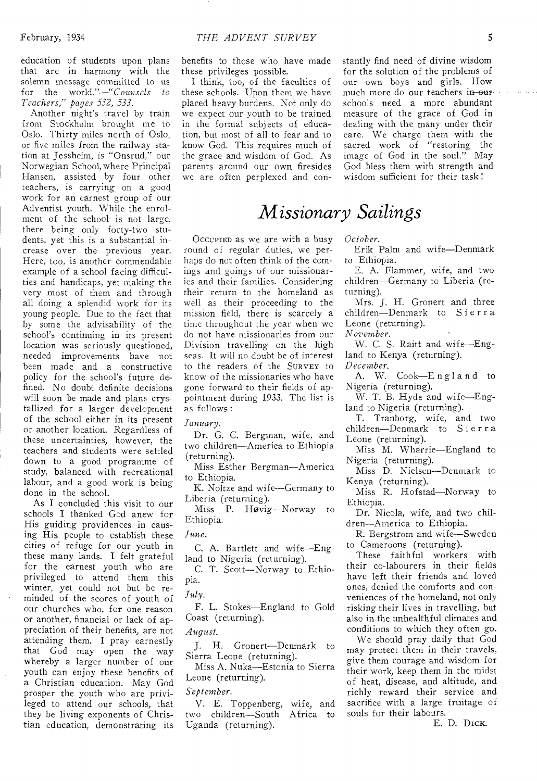education of students upon plans that are in harmony with the solemn message committed to us for the world."—"Counsels *to Teachers," pages 532, 533.* 

Another night's travel by train from Stockholm brought me to Oslo. Thirty miles north of Oslo, or five miles from the railway station at Jessheim, is "Onsrud," our Norwegian School, where Principal Hansen, assisted by four other teachers, is carrying on a good work for an earnest group of our Adventist youth. While the enrolment of the school is not large, there being only forty-two students, yet this is a substantial increase over the previous year. Here, too, is another commendable example of a school facing difficulties and handicaps, yet making the very most of them and through all doing a splendid work for its young people. Due to the fact that by some the advisability of the school's continuing in its present location was seriously questioned, needed improvements have not been made and a constructive policy for the school's future defined. No doubt definite decisions will soon be made and plans crystallized for a larger development of the school either in its present or another location. Regardless of these uncertainties, however, the teachers and students were settled down to a good programme of study, balanced with recreational labour, and a good work is being done in the school.

As I concluded this visit to our schools I thanked God anew for His guiding providences in causing His people to establish these cities of refuge for our youth in these many lands. I felt grateful for the earnest youth who are privileged to attend them this winter, yet could not but be reminded of the scores of youth of our churches who, for one reason or another, financial or lack of appreciation of their benefits, are not attending them. I pray earnestly that God may open the way whereby a larger number of our youth can enjoy these benefits of a Christian education. May God prosper the youth who are privileged to attend our schools, that they be living exponents of Christian education, demonstrating its benefits to those who have made these privileges possible.

I think, too, of the faculties of these schools. Upon them we have placed heavy burdens. Not only do we expect our youth to be trained in the formal subjects of education, but most of all to fear and to know God. This requires much of the grace and wisdom of God. As parents around our own firesides we are often perplexed and constantly find need of divine wisdom for the solution of the problems of our own boys and girls. How much more do our teachers in-our schools need a more abundant measure of the grace of God in dealing with the many under their care. We charge them with the sacred work of "restoring the image of God in the soul." May God bless them with strength and wisdom sufficient for their task !

### *Missionary Sailings*

OCCUPIED as we are with a busy round of regular duties, we perhaps do not often think of the comings and goings of our missionaries and their families. Considering their return to the homeland as well as their proceeding to the mission field, there is scarcely a time throughout the year when we do not have missionaries from our Division travelling on the high seas. It will no doubt be of interest to the readers of the SURVEY to know of the missionaries who have gone forward to their fields of appointment during 1933. The list is as follows :

*January.* 

Dr. G. C. Bergman, wife, and two children—America to Ethiopia (returning).

Miss Esther Bergman—America to Ethiopia.

K. Noltze and wife--Germany to Liberia (returning).

Miss P. Hovig—Norway to Ethiopia.

*June.* 

C. A. Bartlett and wife—England to Nigeria (returning).

C. T. Scott—Norway to Ethiopia.

*July.* 

F. L. Stokes—England to Gold Coast (returning).

*August.* 

J. H. Gronert—Denmark to Sierra Leone (returning).

Miss A. Nuka—Estonia to Sierra Leone (returning).

#### *September.*

V. E. Toppenberg, wife, and two children—South Africa to Uganda (returning).

*October.* 

Erik Palm and wife—Denmark to Ethiopia.

E. A. Flammer, wife, and two children—Germany to Liberia (returning).

Mrs. J. H. Gronert and three children—Denmark to Sierra Leone (returning).

*November.* 

*W.* C. S. Raitt and wife—England to Kenya (returning). *December.* 

A. W. Cook—England to Nigeria (returning).

W. T. B. Hyde and wife—England to Nigeria (returning).

T. Tranborg, wife, and two children—Denmark to Sierra Leone (returning).

Miss M. Wharrie—England to Nigeria (returning).

Miss D. Nielsen—Denmark to Kenya (returning).

Miss R. Hofstad—Norway to Ethiopia.

Dr. Nicola, wife, and two children—America to Ethiopia.

R. Bergstrom and wife—Sweden to Cameroons (returning).

These faithful workers with their co-labourers in their fields have left their friends and loved ones, denied the comforts and conveniences of the homeland, not only risking their lives in travelling, but also in the unhealthful climates and conditions to which they often go.

We should pray daily that God may protect them in their travels, give them courage and wisdom for their work, keep them in the midst of heat, disease, and altitude, and richly reward their service and sacrifice with a large fruitage of souls for their labours.

E. D. DicK.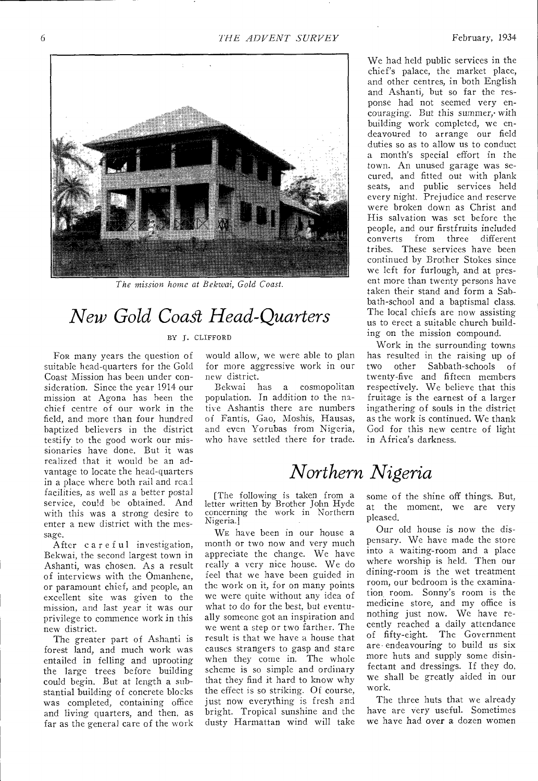

*The mission home at Bekwai, Gold Coast.* 

## *New Gold Coast Head-Quarters*

#### BY J. CLIFFORD

FOR many years the question of suitable head-quarters for the Gold Coast Mission has been under consideration. Since the year 1914 our mission at Agona has been the chief centre of our work in the field, and more than four hundred baptized believers in the district testify to the good work our missionaries have done. But it was realized that it would be an advantage to locate the head-quarters in a place where both rail and read facilities, as well as a better postal service, could be obtained. And with this was a strong desire to enter a new district with the message.

After careful investigation, Bekwai, the second largest town in Ashanti, was chosen. As a result of interviews with the Omanhene, or paramount chief, and people, an excellent site was given to the mission, and last year it was our privilege to commence work in this new district.

The greater part of Ashanti is forest land, and much work was entailed in felling and uprooting the large trees before building could begin. But at length a substantial building of concrete blocks was completed, containing office and living quarters, and then, as far as the general care of the work

would allow, we were able to plan for more aggressive work in our new district.

Bekwai has a cosmopolitan population. In addition to the native Ashantis there are numbers of Fantis, Gao, Moshis, Hausas, and even Yorubas from Nigeria, who have settled there for trade.

*Northern Nigeria* 

[The following is taken from a letter written by Brother John Hyde concerning the work in Northern Nigeria.]

WE have been in our house a month or two now and very much appreciate the change. We have really a very nice house. We do feel that we have been guided in the work on it, for on many points we were quite without any idea of what to do for the best, but eventually someone got an inspiration and we went a step or two farther. The result is that we have a house that causes strangers to gasp and stare when they come in. The whole scheme is so simple and ordinary that they find it hard to know why the effect is so striking. Of course, just now everything is fresh and bright. Tropical sunshine and the dusty Harmattan wind will take

We had held public services in the chief's palace, the market place, and other centres, in both English and Ashanti, but so far the response had not seemed very encouraging. But this summer,• with building work completed, we endeavoured to arrange our field duties so as to allow us to conduct a month's special effort in the town. An unused garage was secured, and fitted out with plank seats, and public services held every night. Prejudice and reserve were broken down as Christ and His salvation was set before the people, and our firstfruits included converts from three different tribes. These services have been continued by Brother Stokes since we left for furlough, and at present more than twenty persons have taken their stand and form a Sabbath-school and a baptismal class. The local chiefs are now assisting us to erect a suitable church building on the mission compound.

Work in the surrounding towns has resulted in the raising up of two other Sabbath-schools of twenty-five and fifteen members respectively. We believe that this fruitage is the earnest of a larger ingathering of souls in the district as the work is continued. We thank God for this new centre of light in Africa's darkness.

some of the shine off things. But, at the moment, we are very pleased.

Our old house is now the dispensary. We have made the store into a waiting-room and a place where worship is held. Then our dining-room is the wet treatment room, our bedroom is the examination room. Sonny's room is the medicine store, and my office is nothing just now. We have recently reached a daily attendance of fifty-eight. The Government are endeavouring to build us six more huts and supply some disinfectant and dressings. If they do, we shall be greatly aided in our work.

The three huts that we already have are very useful. Sometimes we have had over a dozen women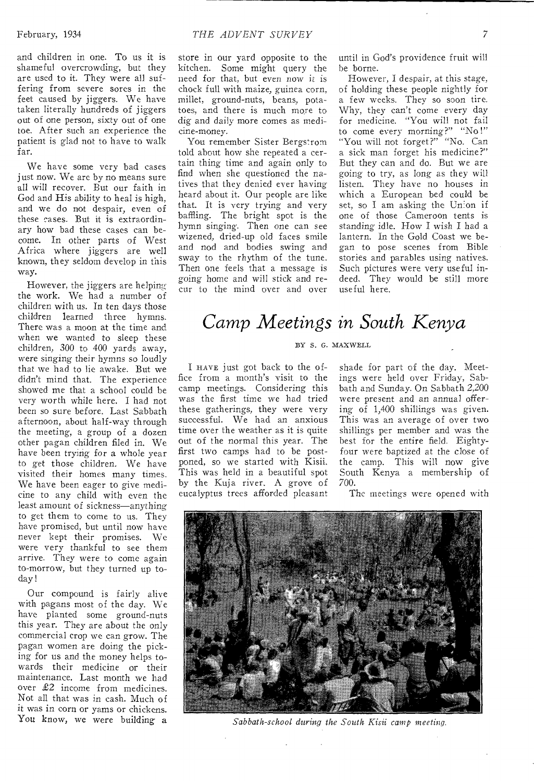and children in one. To us it is shameful overcrowding, but they are used to it. They were all suffering from severe sores in the feet caused by jiggers. We have taken literally hundreds of jiggers out of one person, sixty out of one toe. After such an experience the patient is glad not to have to walk far.

We have some very bad cases just now. We are by no means sure all will recover. But our faith in God and His ability to heal is high, and we do not despair, even of these cases. But it is extraordinary how bad these cases can become. In other parts of West Africa where jiggers are well known, they seldom develop in this way.

However, the jiggers are helping the work. We had a number of children with us. In ten days those children learned three hymns. There was a moon at the time and when we wanted to sleep these children, 300 to 400 yards away, were singing their hymns so loudly that we had to lie awake. But we didn't mind that. The experience showed me that a school could be very worth while here. I had not been so sure before. Last Sabbath afternoon, about half-way through the meeting, a group of a dozen other pagan children filed in. We have been trying for a whole year to get those children. We have visited their homes many times. We have been eager to give medicine to any child with even the least amount of sickness—anything to get them to come to us. They have promised, but until now have never kept their promises. We were very thankful to see them arrive. They were to come again to-morrow, but they turned up today !

Our compound is fairly alive with pagans most of the day. We have planted some ground-nuts this year. They are about the only commercial crop we can grow. The pagan women are doing the picking for us and the money helps towards their medicine or their maintenance. Last month we had over £2 income from medicines. Not all that was in cash. Much of it was in corn or yams or chickens. You know, we were building a

store in our yard opposite to the kitchen. Some might query the need for that, but even now it is chock full with maize, guinea corn, millet, ground-nuts, beans, potatoes, and there is much more to dig and daily more comes as medicine-money.

You remember Sister Bergstrom told about how she repeated a certain thing time and again only to find when she questioned the natives that they denied ever having heard about it. Our people are like that. It is very trying and very baffling. The bright spot is the hymn singing. Then one can see wizened, dried-up old faces smile and nod and bodies swing and sway to the rhythm of the tune. Then one feels that a message is going home and will stick and recur to the mind over and over

until in God's providence fruit will he borne.

However, I despair, at this stage, of holding these people nightly for a few weeks. They so soon tire. Why, they can't come every day for medicine. "You will not fail to come every morning?" "No !" "You will not forget?" "No. Can a sick man forget his medicine?" But they can and do. But we are *going* to try, as long as they will listen. They have no houses in which a European bed could be set, so I am asking the Union if one of those Cameroon tents is standing idle. How I wish I had a lantern. In the Gold Coast we began to pose scenes from Bible stories and parables using natives. Such pictures were very useful indeed. They would be still more useful here.

### *Camp Meetings in South Kenya*

#### BY S. G. MAXWELL

I HAVE just got back to the office from a month's visit to the camp meetings. Considering this was the first time we had tried these gatherings, they were very successful. We had an anxious time over the weather as it is quite out of the normal this year. The first two camps had to be postponed, so we started with Kisii. This was held in a beautiful spot by the Kuja river. A grove of eucalyptus trees afforded pleasant

shade for part of the day. Meetings were held over Friday, Sabbath and Sunday. On Sabbath 2,200 were present and an annual offering of 1,400 shillings was given. This was an average of over two shillings per member and was the best for the entire field. Eightyfour were baptized at the close of the camp. This will now give South Kenya a membership of 700.

The meetings were opened with



*Sabbath-school during the South Kisii camp meeting.*